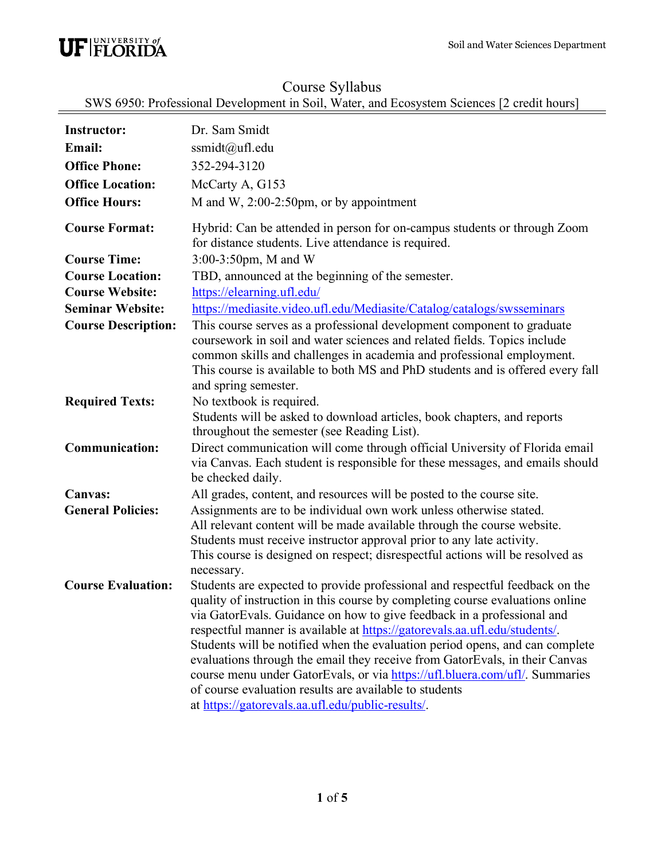

## Course Syllabus

SWS 6950: Professional Development in Soil, Water, and Ecosystem Sciences [2 credit hours]

| <b>Instructor:</b><br>Email:<br><b>Office Phone:</b><br><b>Office Location:</b><br><b>Office Hours:</b>                           | Dr. Sam Smidt<br>ssmidt@ufl.edu<br>352-294-3120<br>McCarty A, G153<br>M and W, $2:00-2:50$ pm, or by appointment                                                                                                                                                                                                                                                                                                                                                                                                                                                                                                                                                                   |
|-----------------------------------------------------------------------------------------------------------------------------------|------------------------------------------------------------------------------------------------------------------------------------------------------------------------------------------------------------------------------------------------------------------------------------------------------------------------------------------------------------------------------------------------------------------------------------------------------------------------------------------------------------------------------------------------------------------------------------------------------------------------------------------------------------------------------------|
| <b>Course Format:</b>                                                                                                             | Hybrid: Can be attended in person for on-campus students or through Zoom<br>for distance students. Live attendance is required.                                                                                                                                                                                                                                                                                                                                                                                                                                                                                                                                                    |
| <b>Course Time:</b><br><b>Course Location:</b><br><b>Course Website:</b><br><b>Seminar Website:</b><br><b>Course Description:</b> | 3:00-3:50pm, M and W<br>TBD, announced at the beginning of the semester.<br>https://elearning.ufl.edu/<br>https://mediasite.video.ufl.edu/Mediasite/Catalog/catalogs/swsseminars<br>This course serves as a professional development component to graduate<br>coursework in soil and water sciences and related fields. Topics include<br>common skills and challenges in academia and professional employment.                                                                                                                                                                                                                                                                    |
|                                                                                                                                   | This course is available to both MS and PhD students and is offered every fall<br>and spring semester.                                                                                                                                                                                                                                                                                                                                                                                                                                                                                                                                                                             |
| <b>Required Texts:</b>                                                                                                            | No textbook is required.<br>Students will be asked to download articles, book chapters, and reports<br>throughout the semester (see Reading List).                                                                                                                                                                                                                                                                                                                                                                                                                                                                                                                                 |
| <b>Communication:</b>                                                                                                             | Direct communication will come through official University of Florida email<br>via Canvas. Each student is responsible for these messages, and emails should<br>be checked daily.                                                                                                                                                                                                                                                                                                                                                                                                                                                                                                  |
| <b>Canvas:</b><br><b>General Policies:</b>                                                                                        | All grades, content, and resources will be posted to the course site.<br>Assignments are to be individual own work unless otherwise stated.<br>All relevant content will be made available through the course website.<br>Students must receive instructor approval prior to any late activity.<br>This course is designed on respect; disrespectful actions will be resolved as<br>necessary.                                                                                                                                                                                                                                                                                     |
| <b>Course Evaluation:</b>                                                                                                         | Students are expected to provide professional and respectful feedback on the<br>quality of instruction in this course by completing course evaluations online<br>via GatorEvals. Guidance on how to give feedback in a professional and<br>respectful manner is available at https://gatorevals.aa.ufl.edu/students/.<br>Students will be notified when the evaluation period opens, and can complete<br>evaluations through the email they receive from GatorEvals, in their Canvas<br>course menu under GatorEvals, or via https://ufl.bluera.com/ufl/. Summaries<br>of course evaluation results are available to students<br>at https://gatorevals.aa.ufl.edu/public-results/. |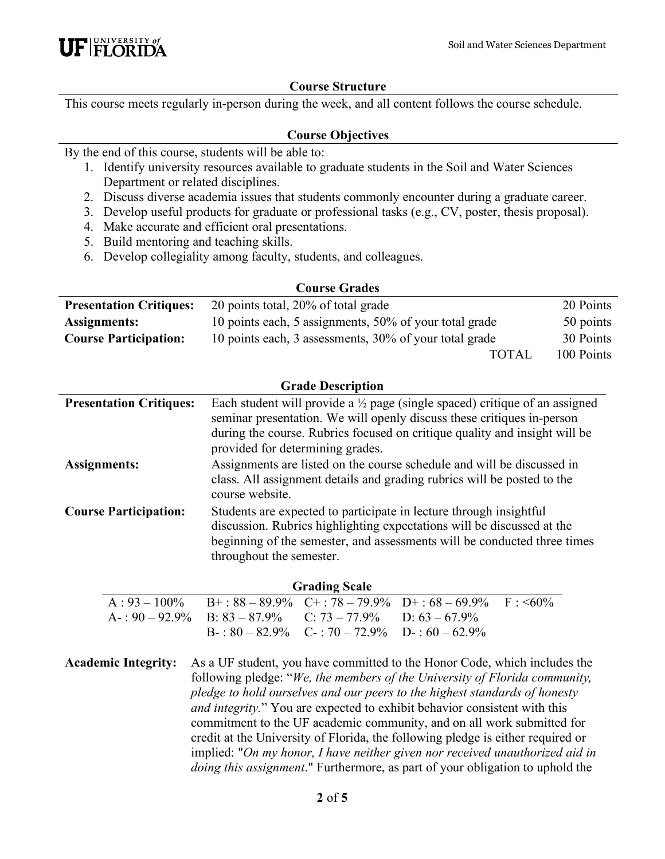#### **Course Structure**

This course meets regularly in-person during the week, and all content follows the course schedule.

#### **Course Objectives**

By the end of this course, students will be able to:

- 1. Identify university resources available to graduate students in the Soil and Water Sciences Department or related disciplines.
- 2. Discuss diverse academia issues that students commonly encounter during a graduate career.
- 3. Develop useful products for graduate or professional tasks (e.g., CV, poster, thesis proposal).
- 4. Make accurate and efficient oral presentations.
- 5. Build mentoring and teaching skills.
- 6. Develop collegiality among faculty, students, and colleagues.

| <b>Presentation Critiques:</b> | 20 points total, 20% of total grade                    |              | 20 Points  |
|--------------------------------|--------------------------------------------------------|--------------|------------|
| Assignments:                   | 10 points each, 5 assignments, 50% of your total grade |              | 50 points  |
| <b>Course Participation:</b>   | 10 points each, 3 assessments, 30% of your total grade |              | 30 Points  |
|                                |                                                        | <b>TOTAL</b> | 100 Points |

#### **Grade Description**

| <b>Presentation Critiques:</b> | Each student will provide a $\frac{1}{2}$ page (single spaced) critique of an assigned<br>seminar presentation. We will openly discuss these critiques in-person<br>during the course. Rubrics focused on critique quality and insight will be<br>provided for determining grades. |
|--------------------------------|------------------------------------------------------------------------------------------------------------------------------------------------------------------------------------------------------------------------------------------------------------------------------------|
| Assignments:                   | Assignments are listed on the course schedule and will be discussed in<br>class. All assignment details and grading rubrics will be posted to the<br>course website.                                                                                                               |
| <b>Course Participation:</b>   | Students are expected to participate in lecture through insightful<br>discussion. Rubrics highlighting expectations will be discussed at the<br>beginning of the semester, and assessments will be conducted three times<br>throughout the semester.                               |

| <b>Grading Scale</b> |                                                                        |                                                       |                                                                  |  |
|----------------------|------------------------------------------------------------------------|-------------------------------------------------------|------------------------------------------------------------------|--|
|                      |                                                                        |                                                       | $A: 93-100\%$ B+:88 - 89.9% C+:78 - 79.9% D+:68 - 69.9% F: < 60% |  |
|                      | $A = 0.90 - 92.9\%$ B: $83 - 87.9\%$ C: $73 - 77.9\%$ D: $63 - 67.9\%$ |                                                       |                                                                  |  |
|                      |                                                                        | $B - 80 - 82.9\%$ $C - 70 - 72.9\%$ $D - 60 - 62.9\%$ |                                                                  |  |

**Academic Integrity:** As a UF student, you have committed to the Honor Code, which includes the following pledge: "*We, the members of the University of Florida community, pledge to hold ourselves and our peers to the highest standards of honesty and integrity.*" You are expected to exhibit behavior consistent with this commitment to the UF academic community, and on all work submitted for credit at the University of Florida, the following pledge is either required or implied: "*On my honor, I have neither given nor received unauthorized aid in doing this assignment*." Furthermore, as part of your obligation to uphold the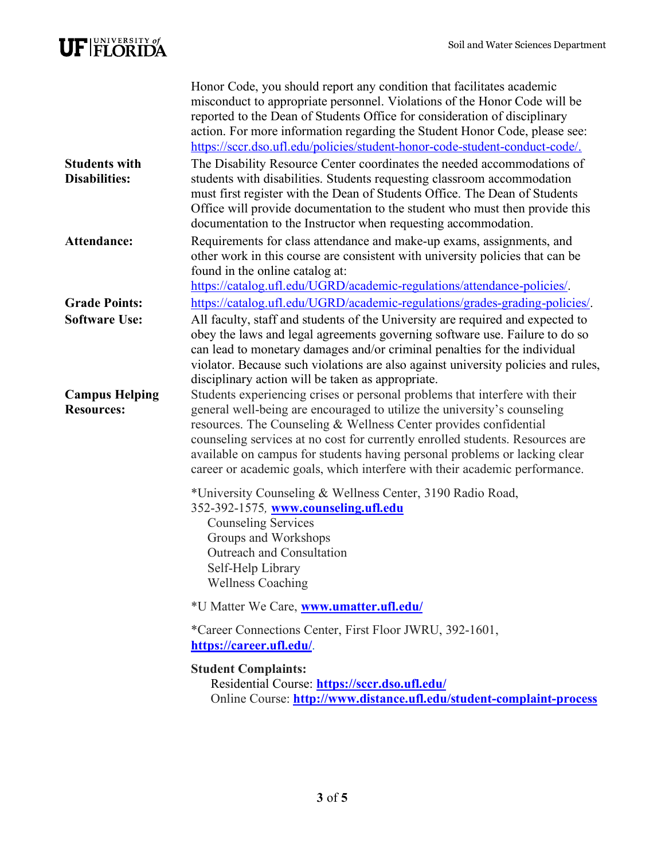# $\textbf{UF}|\text{FLORIDA}^{\text{UNIVERSITY of}}$

|                                              | Honor Code, you should report any condition that facilitates academic<br>misconduct to appropriate personnel. Violations of the Honor Code will be<br>reported to the Dean of Students Office for consideration of disciplinary<br>action. For more information regarding the Student Honor Code, please see:<br>https://sccr.dso.ufl.edu/policies/student-honor-code-student-conduct-code/.                                                                              |
|----------------------------------------------|---------------------------------------------------------------------------------------------------------------------------------------------------------------------------------------------------------------------------------------------------------------------------------------------------------------------------------------------------------------------------------------------------------------------------------------------------------------------------|
| <b>Students with</b><br><b>Disabilities:</b> | The Disability Resource Center coordinates the needed accommodations of<br>students with disabilities. Students requesting classroom accommodation<br>must first register with the Dean of Students Office. The Dean of Students<br>Office will provide documentation to the student who must then provide this<br>documentation to the Instructor when requesting accommodation.                                                                                         |
| Attendance:                                  | Requirements for class attendance and make-up exams, assignments, and<br>other work in this course are consistent with university policies that can be<br>found in the online catalog at:<br>https://catalog.ufl.edu/UGRD/academic-regulations/attendance-policies/.                                                                                                                                                                                                      |
| <b>Grade Points:</b><br><b>Software Use:</b> | https://catalog.ufl.edu/UGRD/academic-regulations/grades-grading-policies/.<br>All faculty, staff and students of the University are required and expected to<br>obey the laws and legal agreements governing software use. Failure to do so<br>can lead to monetary damages and/or criminal penalties for the individual<br>violator. Because such violations are also against university policies and rules,<br>disciplinary action will be taken as appropriate.       |
| <b>Campus Helping</b><br><b>Resources:</b>   | Students experiencing crises or personal problems that interfere with their<br>general well-being are encouraged to utilize the university's counseling<br>resources. The Counseling & Wellness Center provides confidential<br>counseling services at no cost for currently enrolled students. Resources are<br>available on campus for students having personal problems or lacking clear<br>career or academic goals, which interfere with their academic performance. |
|                                              | *University Counseling & Wellness Center, 3190 Radio Road,<br>352-392-1575, www.counseling.ufl.edu<br><b>Counseling Services</b><br>Groups and Workshops<br>Outreach and Consultation<br>Self-Help Library<br><b>Wellness Coaching</b>                                                                                                                                                                                                                                    |
|                                              | *U Matter We Care, www.umatter.ufl.edu/                                                                                                                                                                                                                                                                                                                                                                                                                                   |
|                                              | *Career Connections Center, First Floor JWRU, 392-1601,<br>https://career.ufl.edu/.                                                                                                                                                                                                                                                                                                                                                                                       |
|                                              | <b>Student Complaints:</b><br>Residential Course: https://sccr.dso.ufl.edu/<br>Online Course: http://www.distance.ufl.edu/student-complaint-process                                                                                                                                                                                                                                                                                                                       |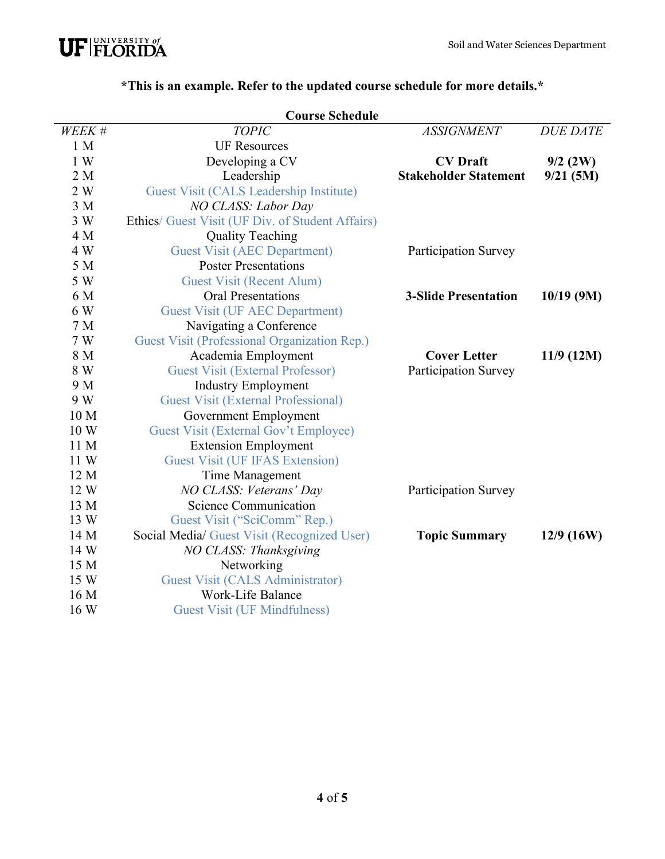

|                 | <b>Course Schedule</b>                           |                              |                 |
|-----------------|--------------------------------------------------|------------------------------|-----------------|
| WEEK #          | <b>TOPIC</b>                                     | <b>ASSIGNMENT</b>            | <b>DUE DATE</b> |
| 1 M             | <b>UF Resources</b>                              |                              |                 |
| 1 W             | Developing a CV                                  | <b>CV</b> Draft              | $9/2$ (2W)      |
| 2M              | Leadership                                       | <b>Stakeholder Statement</b> | 9/21(5M)        |
| 2 W             | Guest Visit (CALS Leadership Institute)          |                              |                 |
| 3M              | NO CLASS: Labor Day                              |                              |                 |
| 3 W             | Ethics/ Guest Visit (UF Div. of Student Affairs) |                              |                 |
| 4 M             | <b>Quality Teaching</b>                          |                              |                 |
| 4 W             | <b>Guest Visit (AEC Department)</b>              | <b>Participation Survey</b>  |                 |
| 5 M             | <b>Poster Presentations</b>                      |                              |                 |
| 5 W             | <b>Guest Visit (Recent Alum)</b>                 |                              |                 |
| 6 M             | <b>Oral Presentations</b>                        | <b>3-Slide Presentation</b>  | $10/19$ (9M)    |
| 6 W             | <b>Guest Visit (UF AEC Department)</b>           |                              |                 |
| 7 <sub>M</sub>  | Navigating a Conference                          |                              |                 |
| 7 W             | Guest Visit (Professional Organization Rep.)     |                              |                 |
| 8 M             | Academia Employment                              | <b>Cover Letter</b>          | $11/9$ (12M)    |
| 8 W             | <b>Guest Visit (External Professor)</b>          | Participation Survey         |                 |
| 9 M             | <b>Industry Employment</b>                       |                              |                 |
| 9 W             | <b>Guest Visit (External Professional)</b>       |                              |                 |
| 10 <sub>M</sub> | Government Employment                            |                              |                 |
| 10W             | Guest Visit (External Gov't Employee)            |                              |                 |
| 11 M            | <b>Extension Employment</b>                      |                              |                 |
| 11 W            | <b>Guest Visit (UF IFAS Extension)</b>           |                              |                 |
| 12 M            | Time Management                                  |                              |                 |
| 12 W            | NO CLASS: Veterans' Day                          | <b>Participation Survey</b>  |                 |
| 13 M            | Science Communication                            |                              |                 |
| 13 W            | Guest Visit ("SciComm" Rep.)                     |                              |                 |
| 14 M            | Social Media/ Guest Visit (Recognized User)      | <b>Topic Summary</b>         | $12/9$ (16W)    |
| 14 W            | NO CLASS: Thanksgiving                           |                              |                 |
| 15 M            | Networking                                       |                              |                 |
| 15 W            | <b>Guest Visit (CALS Administrator)</b>          |                              |                 |
| 16 M            | Work-Life Balance                                |                              |                 |
| 16 W            | <b>Guest Visit (UF Mindfulness)</b>              |                              |                 |

# **\*This is an example. Refer to the updated course schedule for more details.\***